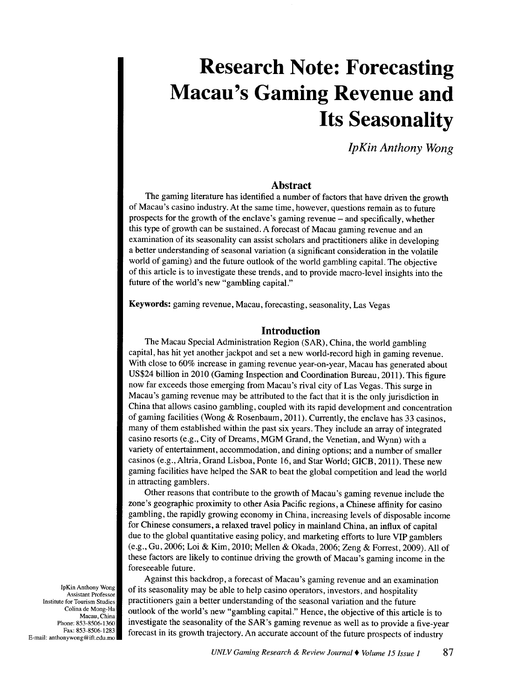# **Research Note: Forecasting Macau's Gaming Revenue and Its Seasonality**

*lpKin Anthony Wong* 

#### **Abstract**

The gaming literature has identified a number of factors that have driven the growth of Macau's casino industry. At the same time, however, questions remain as to future prospects for the growth of the enclave's gaming revenue- and specifically, whether this type of growth can be sustained. A forecast of Macau gaming revenue and an examination of its seasonality can assist scholars and practitioners alike in developing a better understanding of seasonal variation (a significant consideration in the volatile world of gaming) and the future outlook of the world gambling capital. The objective of this article is to investigate these trends, and to provide macro-level insights into the future of the world's new "gambling capital."

Keywords: gaming revenue, Macau, forecasting, seasonality, Las Vegas

#### **Introduction**

The Macau Special Administration Region (SAR), China, the world gambling capital, has hit yet another jackpot and set a new world-record high in gaming revenue. With close to 60% increase in gaming revenue year-on-year, Macau has generated about US\$24 billion in 2010 (Gaming Inspection and Coordination Bureau, 2011). This figure now far exceeds those emerging from Macau's rival city of Las Vegas. This surge in Macau's gaming revenue may be attributed to the fact that it is the only jurisdiction in China that allows casino gambling, coupled with its rapid development and concentration of gaming facilities (Wong & Rosenbaum, 2011). Currently, the enclave has 33 casinos, many of them established within the past six years. They include an array of integrated casino resorts (e.g., City of Dreams, MGM Grand, the Venetian, and Wynn) with a variety of entertainment, accommodation, and dining options; and a number of smaller casinos (e.g., Altria, Grand Lisboa, Ponte 16, and Star World; GICB, 2011). These new gaming facilities have helped the SAR to beat the global competition and lead the world in attracting gamblers.

Other reasons that contribute to the growth of Macau's gaming revenue include the zone's geographic proximity to other Asia Pacific regions, a Chinese affinity for casino gambling, the rapidly growing economy in China, increasing levels of disposable income for Chinese consumers, a relaxed travel policy in mainland China, an influx of capital due to the global quantitative easing policy, and marketing efforts to lure VIP gamblers (e.g., Gu, 2006; Loi & Kim, 2010; Mellen & Okada, 2006; Zeng & Forrest, 2009). All of these factors are likely to continue driving the growth of Macau's gaming income in the foreseeable future.

Against this backdrop, a forecast of Macau's gaming revenue and an examination of its seasonality may be able to help casino operators, investors, and hospitality practitioners gain a better understanding of the seasonal variation and the future outlook of the world's new "gambling capital." Hence, the objective of this article is to investigate the seasonality of the SAR's gaming revenue as well as to provide a five-year forecast in its growth trajectory. An accurate account of the future prospects of industry

lpKin Anthony Wong Assistant Professor Institute for Tourism Studies Colina de Mong-Ha Macau, China Phone: 853-8506-1360 Fax: 853-8506-1283 E-mail: anthonywong@ift.edu.mo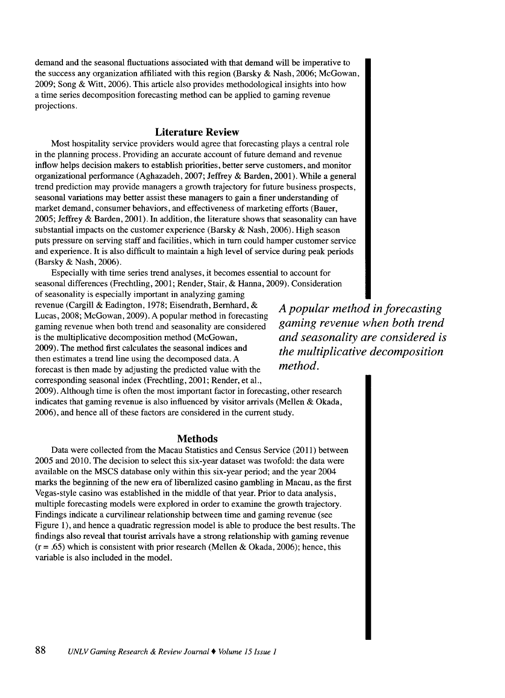demand and the seasonal fluctuations associated with that demand will be imperative to the success any organization affiliated with this region (Barsky & Nash, 2006; McGowan, 2009; Song & Witt, 2006). This article also provides methodological insights into how a time series decomposition forecasting method can be applied to gaming revenue projections.

### **Literature Review**

Most hospitality service providers would agree that forecasting plays a central role in the planning process. Providing an accurate account of future demand and revenue inflow helps decision makers to establish priorities, better serve customers, and monitor organizational performance (Aghazadeh, 2007; Jeffrey & Barden, 2001). While a general trend prediction may provide managers a growth trajectory for future business prospects, seasonal variations may better assist these managers to gain a finer understanding of market demand, consumer behaviors, and effectiveness of marketing efforts (Bauer, 2005; Jeffrey & Barden, 2001). In addition, the literature shows that seasonality can have substantial impacts on the customer experience (Barsky & Nash, 2006). High season puts pressure on serving staff and facilities, which in tum could hamper customer service and experience. It is also difficult to maintain a high level of service during peak periods (Barsky & Nash, 2006).

Especially with time series trend analyses, it becomes essential to account for seasonal differences (Frechtling, 2001; Render, Stair, & Hanna, 2009). Consideration

of seasonality is especially important in analyzing gaming revenue (Cargill & Eadington, 1978; Eisendrath, Bernhard, & Lucas, 2008; McGowan, 2009). A popular method in forecasting gaming revenue when both trend and seasonality are considered is the multiplicative decomposition method (McGowan, 2009). The method first calculates the seasonal indices and then estimates a trend line using the decomposed data. A forecast is then made by adjusting the predicted value with the corresponding seasonal index (Frechtling, 2001; Render, et al.,

*A popular method in forecasting gaming revenue when both trend and seasonality are considered is the multiplicative decomposition method.* 

2009). Although time is often the most important factor in forecasting, other research indicates that gaming revenue is also influenced by visitor arrivals (Mellen & Okada, 2006), and hence all of these factors are considered in the current study.

#### **Methods**

Data were collected from the Macau Statistics and Census Service (2011) between 2005 and 2010. The decision to select this six-year dataset was twofold: the data were available on the MSCS database only within this six-year period; and the year 2004 marks the beginning of the new era of liberalized casino gambling in Macau, as the first Vegas-style casino was established in the middle of that year. Prior to data analysis, multiple forecasting models were explored in order to examine the growth trajectory. Findings indicate a curvilinear relationship between time and gaming revenue (see Figure 1), and hence a quadratic regression model is able to produce the best results. The findings also reveal that tourist arrivals have a strong relationship with gaming revenue  $(r = .65)$  which is consistent with prior research (Mellen & Okada, 2006); hence, this variable is also included in the model.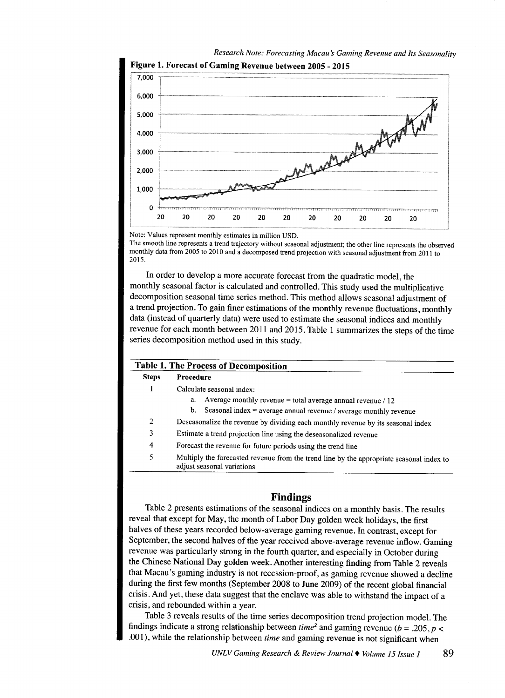

*Research Note: Forecasting Macau's Gaming Revenue and Its Seasonality* 

Note: Values represent monthly estimates in million USD.

The smooth line represents a trend trajectory without seasonal adjustment; the other line represents the observed monthly data from 2005 to 2010 and a decomposed trend projection with seasonal adjustment from 2011 to 2015.

In order to develop a more accurate forecast from the quadratic model, the monthly seasonal factor is calculated and controlled. This study used the multiplicative decomposition seasonal time series method. This method allows seasonal adjustment of a trend projection. To gain finer estimations of the monthly revenue fluctuations, monthly data (instead of quarterly data) were used to estimate the seasonal indices and monthly revenue for each month between 2011 and 2015. Table 1 summarizes the steps of the time series decomposition method used in this study.

| <b>Table 1. The Process of Decomposition</b> |                                                                                                                        |  |  |  |  |  |  |  |
|----------------------------------------------|------------------------------------------------------------------------------------------------------------------------|--|--|--|--|--|--|--|
| <b>Steps</b>                                 | <b>Procedure</b>                                                                                                       |  |  |  |  |  |  |  |
|                                              | Calculate seasonal index:                                                                                              |  |  |  |  |  |  |  |
|                                              | Average monthly revenue = total average annual revenue $/ 12$<br>a.                                                    |  |  |  |  |  |  |  |
|                                              | b. Seasonal index = average annual revenue / average monthly revenue                                                   |  |  |  |  |  |  |  |
| 2                                            | Deseasonalize the revenue by dividing each monthly revenue by its seasonal index                                       |  |  |  |  |  |  |  |
| 3                                            | Estimate a trend projection line using the deseasonalized revenue                                                      |  |  |  |  |  |  |  |
| 4                                            | Forecast the revenue for future periods using the trend line                                                           |  |  |  |  |  |  |  |
| 5                                            | Multiply the forecasted revenue from the trend line by the appropriate seasonal index to<br>adjust seasonal variations |  |  |  |  |  |  |  |

## **Findings**

Table 2 presents estimations of the seasonal indices on a monthly basis. The results reveal that except for May, the month of Labor Day golden week holidays, the first halves of these years recorded below-average gaming revenue. In contrast, except for September, the second halves of the year received above-average revenue inflow. Gaming revenue was particularly strong in the fourth quarter, and especially in October during the Chinese National Day golden week. Another interesting finding from Table 2 reveals that Macau's gaming industry is not recession-proof, as gaming revenue showed a decline during the first few months (September 2008 to June 2009) of the recent global financial crisis. And yet, these data suggest that the enclave was able to withstand the impact of <sup>a</sup> crisis, and rebounded within a year.

Table 3 reveals results of the time series decomposition trend projection model. The findings indicate a strong relationship between *time*<sup>2</sup> and gaming revenue ( $b = .205$ ,  $p <$ .001), while the relationship between *time* and gaming revenue is not significant when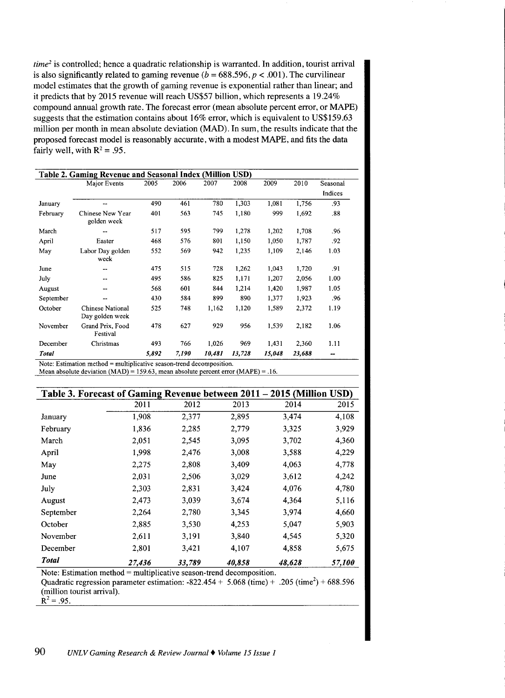*time*<sup>2</sup> is controlled; hence a quadratic relationship is warranted. In addition, tourist arrival is also significantly related to gaming revenue ( $b = 688.596$ ,  $p < .001$ ). The curvilinear model estimates that the growth of gaming revenue is exponential rather than linear; and it predicts that by 2015 revenue will reach US\$57 billion, which represents a 19.24% compound annual growth rate. The forecast error (mean absolute percent error, or MAPE) suggests that the estimation contains about 16% error, which is equivalent to US\$159.63 million per month in mean absolute deviation (MAD). In sum, the results indicate that the proposed forecast model is reasonably accurate, with a modest MAPE, and fits the data fairly well, with  $R^2 = .95$ .

| Table 2. Gaming Revenue and Seasonal Index (Million USD) |                                     |       |       |        |        |        |        |          |  |  |
|----------------------------------------------------------|-------------------------------------|-------|-------|--------|--------|--------|--------|----------|--|--|
|                                                          | Major Events                        | 2005  | 2006  | 2007   | 2008   | 2009   | 2010   | Seasonal |  |  |
|                                                          |                                     |       |       |        |        |        |        | Indices  |  |  |
| January                                                  | --                                  | 490   | 461   | 780    | 1,303  | 1,081  | 1,756  | .93      |  |  |
| February                                                 | Chinese New Year<br>golden week     | 401   | 563   | 745    | 1,180  | 999    | 1,692  | .88      |  |  |
| March                                                    |                                     | 517   | 595   | 799    | 1,278  | 1,202  | 1,708  | .96      |  |  |
| April                                                    | Easter                              | 468   | 576   | 801    | 1,150  | 1,050  | 1,787  | .92      |  |  |
| May                                                      | Labor Day golden<br>week            | 552   | 569   | 942    | 1,235  | 1,109  | 2,146  | 1.03     |  |  |
| June                                                     |                                     | 475   | 515   | 728    | 1,262  | 1,043  | 1,720  | .91      |  |  |
| July                                                     | --                                  | 495   | 586   | 825    | 1,171  | 1,207  | 2,056  | 1.00     |  |  |
| August                                                   | --                                  | 568   | 601   | 844    | 1,214  | 1,420  | 1,987  | 1.05     |  |  |
| September                                                | $\overline{\phantom{m}}$            | 430   | 584   | 899    | 890    | 1,377  | 1.923  | .96      |  |  |
| October                                                  | Chinese National<br>Day golden week | 525   | 748   | 1,162  | 1,120  | 1,589  | 2,372  | 1.19     |  |  |
| November                                                 | Grand Prix, Food<br>Festival        | 478   | 627   | 929    | 956    | 1,539  | 2,182  | 1.06     |  |  |
| December                                                 | Christmas                           | 493   | 766   | 1,026  | 969    | 1,431  | 2,360  | 1.11     |  |  |
| Total                                                    |                                     | 5,892 | 7,190 | 10,481 | 13,728 | 15,048 | 23,688 |          |  |  |

Note: Estimation method= multiplicative season-trend decomposition.

Mean absolute deviation  $(MAD) = 159.63$ , mean absolute percent error  $(MAPE) = .16$ .

| Table 3. Forecast of Gaming Revenue between 2011 - 2015 (Million USD) |        |        |        |        |        |
|-----------------------------------------------------------------------|--------|--------|--------|--------|--------|
|                                                                       | 2011   | 2012   | 2013   | 2014   | 2015   |
| January                                                               | 1,908  | 2,377  | 2,895  | 3,474  | 4,108  |
| February                                                              | 1,836  | 2,285  | 2,779  | 3,325  | 3,929  |
| March                                                                 | 2,051  | 2,545  | 3,095  | 3,702  | 4,360  |
| April                                                                 | 1.998  | 2.476  | 3,008  | 3,588  | 4,229  |
| May                                                                   | 2,275  | 2,808  | 3,409  | 4,063  | 4,778  |
| June                                                                  | 2,031  | 2,506  | 3,029  | 3.612  | 4,242  |
| July                                                                  | 2,303  | 2,831  | 3,424  | 4,076  | 4,780  |
| August                                                                | 2,473  | 3,039  | 3,674  | 4,364  | 5,116  |
| September                                                             | 2,264  | 2,780  | 3,345  | 3,974  | 4,660  |
| October                                                               | 2,885  | 3,530  | 4,253  | 5,047  | 5,903  |
| November                                                              | 2,611  | 3,191  | 3,840  | 4,545  | 5,320  |
| December                                                              | 2,801  | 3,421  | 4,107  | 4,858  | 5,675  |
| <b>Total</b>                                                          | 27.436 | 33,789 | 40,858 | 48,628 | 57,100 |

Note: Estimation method= multiplicative season-trend decomposition.

Quadratic regression parameter estimation:  $-822.454 + 5.068$  (time) + .205 (time<sup>2</sup>) + 688.596 (million tourist arrival).

 $R^2 = .95$ .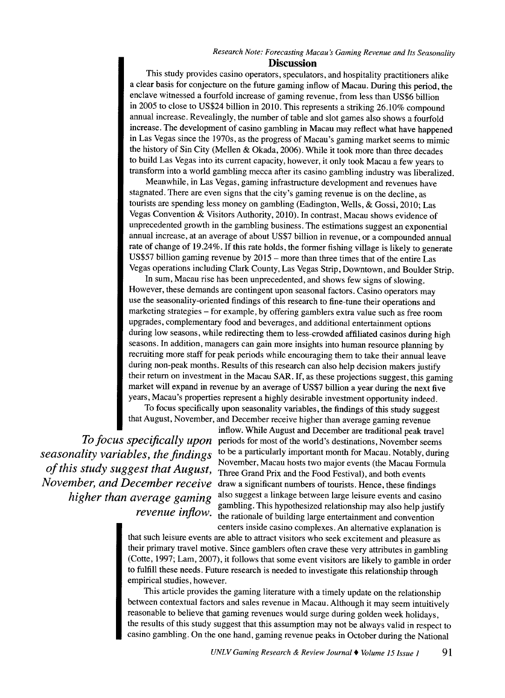# *Research Note: Forecasting Macau's Gaming Revenue and Its Seasonality*

#### **Discussion**

This study provides casino operators, speculators, and hospitality practitioners alike a clear basis for conjecture on the future gaming inflow of Macau. During this period, the enclave witnessed a fourfold increase of gaming revenue, from less than US\$6 billion in 2005 to close to US\$24 billion in 2010. This represents a striking 26.10% compound annual increase. Revealingly, the number of table and slot games also shows a fourfold increase. The development of casino gambling in Macau may reflect what have happened in Las Vegas since the 1970s, as the progress of Macau's gaming market seems to mimic the history of Sin City (Mellen & Okada, 2006). While it took more than three decades to build Las Vegas into its current capacity, however, it only took Macau a few years to transform into a world gambling mecca after its casino gambling industry was liberalized.

Meanwhile, in Las Vegas, gaming infrastructure development and revenues have stagnated. There are even signs that the city's gaming revenue is on the decline, as tourists are spending less money on gambling (Eadington, Wells, & Gossi, 2010; Las Vegas Convention & Visitors Authority, 2010). In contrast, Macau shows evidence of unprecedented growth in the gambling business. The estimations suggest an exponential annual increase, at an average of about US\$7 billion in revenue, or a compounded annual rate of change of 19.24%. If this rate holds, the former fishing village is likely to generate US\$57 billion gaming revenue by 2015 - more than three times that of the entire Las Vegas operations including Clark County, Las Vegas Strip, Downtown, and Boulder Strip.

In sum, Macau rise has been unprecedented, and shows few signs of slowing. However, these demands are contingent upon seasonal factors. Casino operators may use the seasonality-oriented findings of this research to fine-tune their operations and marketing strategies- for example, by offering gamblers extra value such as free room upgrades, complementary food and beverages, and additional entertainment options during low seasons, while redirecting them to less-crowded affiliated casinos during high seasons. In addition, managers can gain more insights into human resource planning by recruiting more staff for peak periods while encouraging them to take their annual leave during non-peak months. Results of this research can also help decision makers justify their return on investment in the Macau SAR. If, as these projections suggest, this gaming market will expand in revenue by an average of US\$7 billion a year during the next five years, Macau's properties represent a highly desirable investment opportunity indeed.

To focus specifically upon seasonality variables, the findings of this study suggest that August, November, and December receive higher than average gaming revenue

inflow. While August and December are traditional peak travel *To focus specifically upon* periods for most of the world's destinations, November seems *seasonality variables, the findings* <sup>to be a particularly important month for Macau. Notably, during<br>November, Macau hosts two major events (the Macau Formula</sup> of this study suggest that August, Three Grand Prix and the Food Festival), and both events *November, and December receive* draw a significant numbers of tourists. Hence, these findings *higher than average gaming* also suggest a linkage between large leisure events and casino gambling. This hypothesized relationship may also help justify *revenue inflow.* the rationale of building large entertainment and convention centers inside casino complexes. An alternative explanation is

> that such leisure events are able to attract visitors who seek excitement and pleasure as their primary travel motive. Since gamblers often crave these very attributes in gambling (Cotte, 1997; Lam, 2007), it follows that some event visitors are likely to gamble in order to fulfill these needs. Future research is needed to investigate this relationship through empirical studies, however.

> This article provides the gaming literature with a timely update on the relationship between contextual factors and sales revenue in Macau. Although it may seem intuitively reasonable to believe that gaming revenues would surge during golden week holidays, the results of this study suggest that this assumption may not be always valid in respect to casino gambling. On the one hand, gaming revenue peaks in October during the National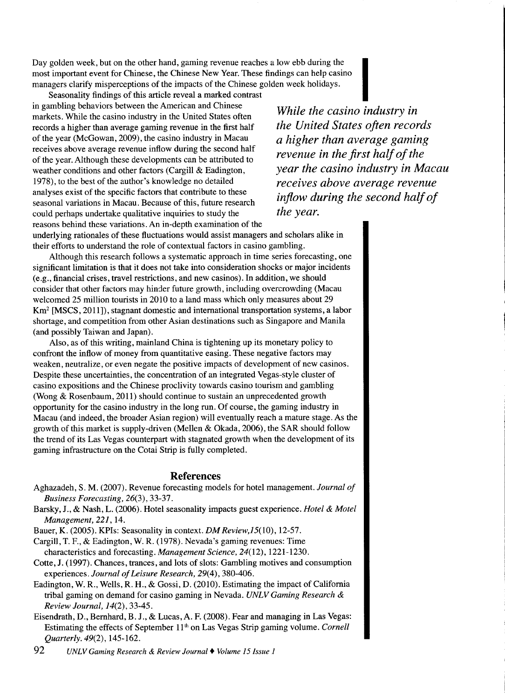Day golden week, but on the other hand, gaming revenue reaches a low ebb during the most important event for Chinese, the Chinese New Year. These findings can help casino managers clarify misperceptions of the impacts of the Chinese golden week holidays. e reaches a low ebb during the<br>r. These findings can help casino<br>hinese golden week holidays.<br>contrast

in gambling behaviors between the American and Chinese Seasonality findings of this article reveal a marked markets. While the casino industry in the United States often records a higher than average gaming revenue in the first half of the year (McGowan, 2009), the casino industry in Macau receives above average revenue inflow during the second half of the year. Although these developments can be attributed to weather conditions and other factors (Cargill & Eadington, 1978), to the best of the author's knowledge no detailed analyses exist of the specific factors that contribute to these seasonal variations in Macau. Because of this, future research could perhaps undertake qualitative inquiries to study the reasons behind these variations. An in-depth examination of the

*While the casino industry in the United States often records a higher than average gaming revenue in the first half of the year the casino industry in Macau receives above average revenue inflow during the second half of the year.* 

underlying rationales of these fluctuations would assist managers and scholars alike in their efforts to understand the role of contextual factors in casino gambling.

Although this research follows a systematic approach in time series forecasting, one significant limitation is that it does not take into consideration shocks or major incidents (e.g., financial crises, travel restrictions, and new casinos). In addition, we should consider that other factors may hinder future growth, including overcrowding (Macau welcomed 25 million tourists in 2010 to a land mass which only measures about 29 Km<sup>2</sup> [MSCS, 2011]), stagnant domestic and international transportation systems, a labor shortage, and competition from other Asian destinations such as Singapore and Manila (and possibly Taiwan and Japan).

Also, as of this writing, mainland China is tightening up its monetary policy to confront the inflow of money from quantitative easing. These negative factors may weaken, neutralize, or even negate the positive impacts of development of new casinos. Despite these uncertainties, the concentration of an integrated Vegas-style cluster of casino expositions and the Chinese proclivity towards casino tourism and gambling (Wong & Rosenbaum, 2011) should continue to sustain an unprecedented growth opportunity for the casino industry in the long run. Of course, the gaming industry in Macau (and indeed, the broader Asian region) will eventually reach a mature stage. As the growth of this market is supply-driven (Mellen & Okada, 2006), the SAR should follow the trend of its Las Vegas counterpart with stagnated growth when the development of its gaming infrastructure on the Cotai Strip is fully completed.

#### **References**

- Aghazadeh, S.M. (2007). Revenue forecasting models for hotel management. *Journal of Business Forecasting,* 26(3), 33-37.
- Barsky, J., & Nash, L. (2006). Hotel seasonality impacts guest experience. *Hotel* & *Motel Management, 221,* 14.

Bauer, K. (2005). KPis: Seasonality in context. *DM Review,l5(10),* 12-57.

- Cargill, T. F., & Eadington, W. R. (1978). Nevada's gaming revenues: Time characteristics and forecasting. *Management Science,* 24(12), 1221-1230.
- Cotte, J. (1997). Chances, trances, and lots of slots: Gambling motives and consumption experiences. *Journal of Leisure Research,* 29(4), 380-406.
- Eadington, W. R., Wells, R. H., & Gossi, D. (2010). Estimating the impact of California tribal gaming on demand for casino gaming in Nevada. *UNLV Gaming Research* & *Review Journal, 14(2),* 33-45.
- Eisendrath, D., Bernhard, B. J., & Lucas,A. F. (2008). Fear and managing in Las Vegas: Estimating the effects of September 11<sup>th</sup> on Las Vegas Strip gaming volume. *Cornell Quarterly.* 49(2), 145-162.

92 *UNLV Gaming Research* & *Review Journal+ Volume 15 Issue 1*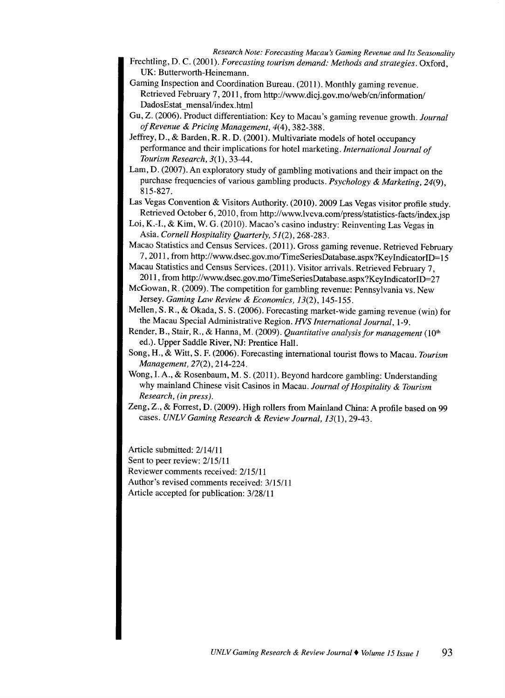*Research Note: Forecasting Macau's Gaming Revenue and Its Seasonality*  Frechtling, D. C. (2001). *Forecasting tourism demand: Methods and strategies.* Oxford, UK: Butterworth-Heinemann.

- Gaming Inspection and Coordination Bureau. (2011). Monthly gaming revenue. Retrieved February 7, 2011, from http://www.dicj.gov.mo/web/cn/information/ DadosEstat mensal/index.html
- Gu, Z. (2006). Product differentiation: Key to Macau's gaming revenue growth. *Journal of Revenue* & *Pricing Management,* 4(4), 382-388.
- Jeffrey, D., & Barden, R. R. D. (2001). Multivariate models of hotel occupancy performance and their implications for hotel marketing. *International Journal of Tourism Research,* 3(1), 33-44.
- Lam, D. (2007). An exploratory study of gambling motivations and their impact on the purchase frequencies of various gambling products. *Psychology* & *Marketing, 24(9),*  815-827.
- Las Vegas Convention & Visitors Authority. (2010). 2009 Las Vegas visitor profile study. Retrieved October 6, 2010, from http://www.lvcva.com/press/statistics-facts/index.jsp
- Loi, K.-1., & Kim, W. G. (2010). Macao's casino industry: Reinventing Las Vegas in Asia. *Cornell Hospitality Quarterly, 51(2),* 268-283.
- Macao Statistics and Census Services. (2011). Gross gaming revenue. Retrieved February 7, 2011, from http://www.dsec.gov.mo/TimeSeriesDatabase.aspx?KeylndicatoriD= <sup>15</sup>
- Macau Statistics and Census Services. (2011). Visitor arrivals. Retrieved February 7, 2011, from http://www.dsec.gov.mo/TimeSeriesDatabase.aspx?KeyIndicatorID=27
- McGowan, R. (2009). The competition for gambling revenue: Pennsylvania vs. New Jersey. *Gaming Law Review* & *Economics, 13(2),* 145-155.
- Mellen, S. R., & Okada, S. S. (2006). Forecasting market-wide gaming revenue (win) for the Macau Special Administrative Region. *HVS International Journal,* 1-9.
- Render, B., Stair, R., & Hanna, M. (2009). *Quantitative analysis for management* (10<sup>th</sup> ed.). Upper Saddle River, NJ: Prentice Hall.
- Song, H., & Witt, S. F. (2006). Forecasting international tourist flows to Macau. *Tourism Management,* 27(2), 214-224.
- Wong, I. A., & Rosenbaum, M.S. (2011). Beyond hardcore gambling: Understanding why mainland Chinese visit Casinos in Macau. *Journal of Hospitality* & *Tourism Research, (in press).*
- Zeng, Z., & Forrest, D. (2009). High rollers from Mainland China: A profile based on 99 cases. *UNLV Gaming Research* & *Review Journal, 13(1),* 29-43.

Article submitted: 2/14/11

Sent to peer review: 2/15/11

Reviewer comments received: 2/15111

Author's revised comments received: 3/15/11

Article accepted for publication: 3/28/11